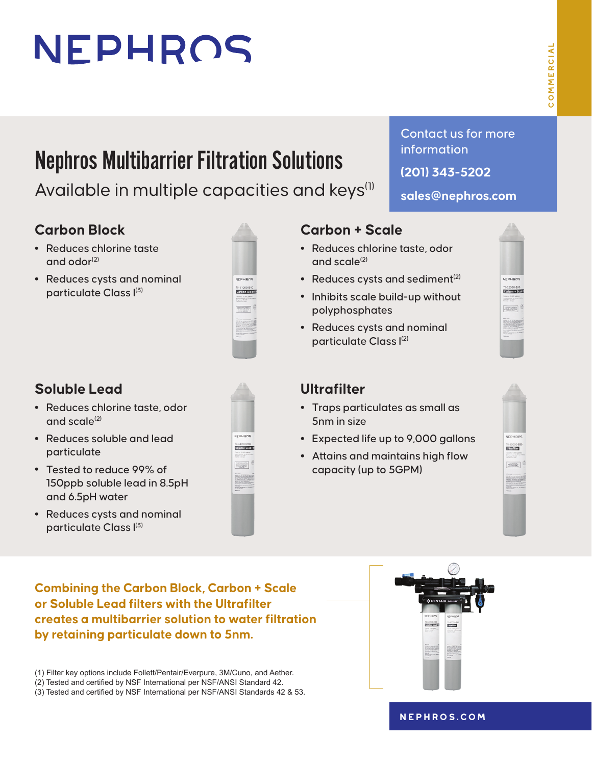# NEPHROS

# Nephros Multibarrier Filtration Solutions

Available in multiple capacities and keys<sup>(1)</sup>

### **Carbon Block**

- **•** Reduces chlorine taste and odor $(2)$
- **•** Reduces cysts and nominal particulate Class I(3)



## **Soluble Lead**

- **•** Reduces chlorine taste, odor and scale $(2)$
- **•** Reduces soluble and lead particulate
- **•** Tested to reduce 99% of 150ppb soluble lead in 8.5pH and 6.5pH water
- **•** Reduces cysts and nominal particulate Class I(3)



### **Carbon + Scale**

- **•** Reduces chlorine taste, odor and scale $^{(2)}$
- Reduces cysts and sediment<sup>(2)</sup>
- **•** Inhibits scale build-up without polyphosphates
- **•** Reduces cysts and nominal particulate Class I(2)

# NEPHROS Carbon + Scale

Contact us for more

**sales@nephros.com**

information

**(201) 343-5202**

### **Ultrafilter**

- **•** Traps particulates as small as 5nm in size
- **•** Expected life up to 9,000 gallons
- **•** Attains and maintains high flow capacity (up to 5GPM)



**Combining the Carbon Block, Carbon + Scale or Soluble Lead filters with the Ultrafilter creates a multibarrier solution to water filtration by retaining particulate down to 5nm.**

(1) Filter key options include Follett/Pentair/Everpure, 3M/Cuno, and Aether.

- (2) Tested and certified by NSF International per NSF/ANSI Standard 42.
- (3) Tested and certified by NSF International per NSF/ANSI Standards 42 & 53.



#### **[nephros.com](https://www.nephros.com/)**